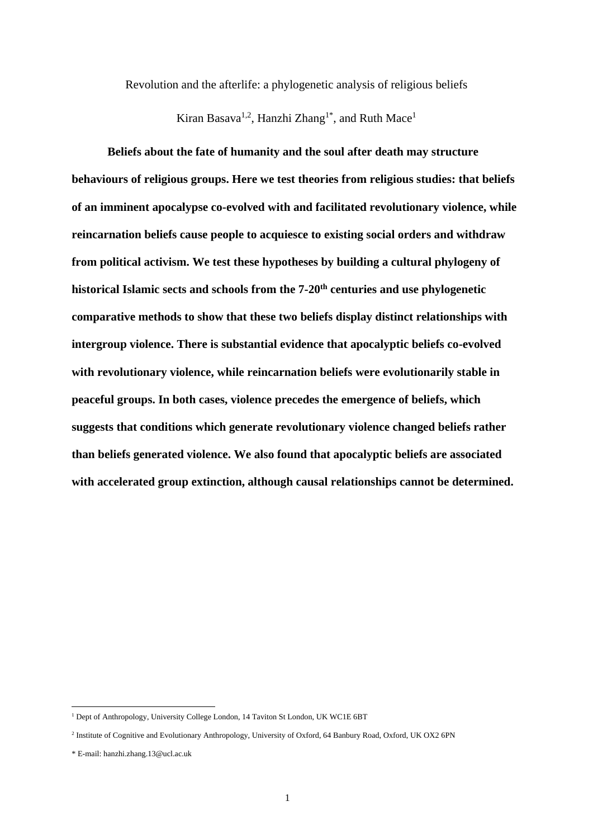Revolution and the afterlife: a phylogenetic analysis of religious beliefs

Kiran Basava<sup>1,2</sup>, Hanzhi Zhang<sup>1\*</sup>, and Ruth Mace<sup>1</sup>

**Beliefs about the fate of humanity and the soul after death may structure behaviours of religious groups. Here we test theories from religious studies: that beliefs of an imminent apocalypse co-evolved with and facilitated revolutionary violence, while reincarnation beliefs cause people to acquiesce to existing social orders and withdraw from political activism. We test these hypotheses by building a cultural phylogeny of historical Islamic sects and schools from the 7-20th centuries and use phylogenetic comparative methods to show that these two beliefs display distinct relationships with intergroup violence. There is substantial evidence that apocalyptic beliefs co-evolved with revolutionary violence, while reincarnation beliefs were evolutionarily stable in peaceful groups. In both cases, violence precedes the emergence of beliefs, which suggests that conditions which generate revolutionary violence changed beliefs rather than beliefs generated violence. We also found that apocalyptic beliefs are associated with accelerated group extinction, although causal relationships cannot be determined.**

<sup>&</sup>lt;sup>1</sup> Dept of Anthropology, University College London, 14 Taviton St London, UK WC1E 6BT

<sup>&</sup>lt;sup>2</sup> Institute of Cognitive and Evolutionary Anthropology, University of Oxford, 64 Banbury Road, Oxford, UK OX2 6PN

<sup>\*</sup> E-mail: hanzhi.zhang.13@ucl.ac.uk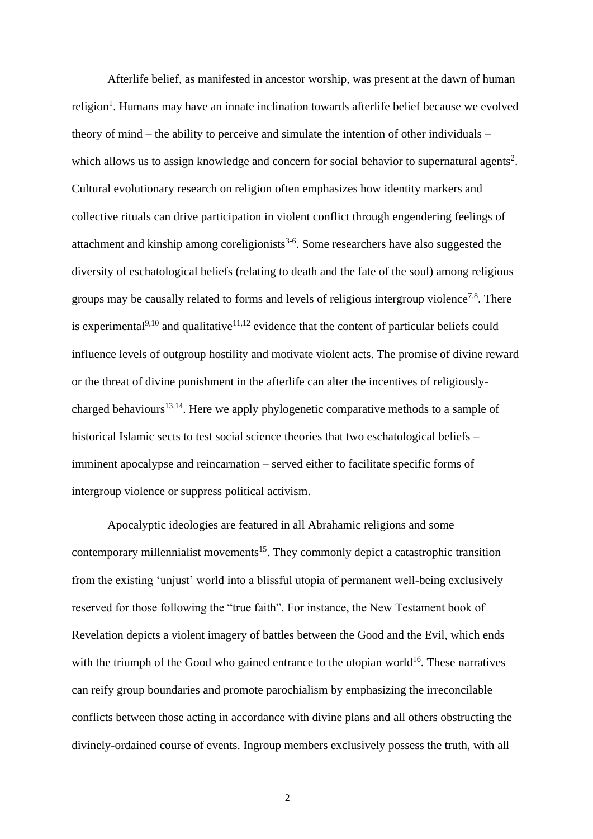Afterlife belief, as manifested in ancestor worship, was present at the dawn of human religion<sup>[1](#page-22-0)</sup>. Humans may have an innate inclination towards afterlife belief because we evolved theory of mind – the ability to perceive and simulate the intention of other individuals – which allows us to assign knowledge and concern for social behavior to supernatural agents<sup>[2](#page-22-1)</sup>. Cultural evolutionary research on religion often emphasizes how identity markers and collective rituals can drive participation in violent conflict through engendering feelings of attachment and kinship among coreligionists<sup>[3-6](#page-22-2)</sup>. Some researchers have also suggested the diversity of eschatological beliefs (relating to death and the fate of the soul) among religious groups may be causally related to forms and levels of religious intergroup violence<sup>[7,](#page-22-3)[8](#page-22-4)</sup>. There is experimental $9,10$  $9,10$  and qualitative<sup>[11,](#page-22-7)[12](#page-23-0)</sup> evidence that the content of particular beliefs could influence levels of outgroup hostility and motivate violent acts. The promise of divine reward or the threat of divine punishment in the afterlife can alter the incentives of religiously-charged behaviours<sup>[13,](#page-23-1)[14](#page-23-2)</sup>. Here we apply phylogenetic comparative methods to a sample of historical Islamic sects to test social science theories that two eschatological beliefs – imminent apocalypse and reincarnation – served either to facilitate specific forms of intergroup violence or suppress political activism.

Apocalyptic ideologies are featured in all Abrahamic religions and some contemporary millennialist movements<sup>[15](#page-23-3)</sup>. They commonly depict a catastrophic transition from the existing 'unjust' world into a blissful utopia of permanent well-being exclusively reserved for those following the "true faith". For instance, the New Testament book of Revelation depicts a violent imagery of battles between the Good and the Evil, which ends with the triumph of the Good who gained entrance to the utopian world<sup>[16](#page-23-4)</sup>. These narratives can reify group boundaries and promote parochialism by emphasizing the irreconcilable conflicts between those acting in accordance with divine plans and all others obstructing the divinely-ordained course of events. Ingroup members exclusively possess the truth, with all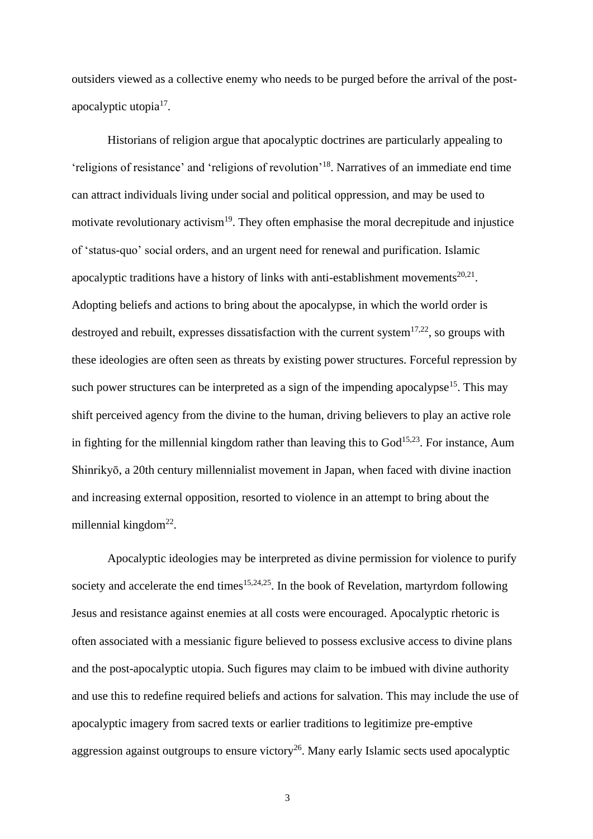outsiders viewed as a collective enemy who needs to be purged before the arrival of the post-apocalyptic utopia<sup>[17](#page-23-5)</sup>.

Historians of religion argue that apocalyptic doctrines are particularly appealing to 'religions of resistance' and 'religions of revolution'[18](#page-23-6) . Narratives of an immediate end time can attract individuals living under social and political oppression, and may be used to motivate revolutionary activism<sup>[19](#page-23-7)</sup>. They often emphasise the moral decrepitude and injustice of 'status-quo' social orders, and an urgent need for renewal and purification. Islamic apocalyptic traditions have a history of links with anti-establishment movements $^{20,21}$  $^{20,21}$  $^{20,21}$  $^{20,21}$ . Adopting beliefs and actions to bring about the apocalypse, in which the world order is destroyed and rebuilt, expresses dissatisfaction with the current system $17,22$  $17,22$ , so groups with these ideologies are often seen as threats by existing power structures. Forceful repression by such power structures can be interpreted as a sign of the impending apocalypse<sup>[15](#page-23-3)</sup>. This may shift perceived agency from the divine to the human, driving believers to play an active role in fighting for the millennial kingdom rather than leaving this to  $God<sup>15,23</sup>$  $God<sup>15,23</sup>$  $God<sup>15,23</sup>$  $God<sup>15,23</sup>$ . For instance, Aum Shinrikyō, a 20th century millennialist movement in Japan, when faced with divine inaction and increasing external opposition, resorted to violence in an attempt to bring about the millennial kingdom<sup>[22](#page-23-10)</sup>.

Apocalyptic ideologies may be interpreted as divine permission for violence to purify society and accelerate the end times<sup>[15](#page-23-3)[,24](#page-23-12)[,25](#page-23-13)</sup>. In the book of Revelation, martyrdom following Jesus and resistance against enemies at all costs were encouraged. Apocalyptic rhetoric is often associated with a messianic figure believed to possess exclusive access to divine plans and the post-apocalyptic utopia. Such figures may claim to be imbued with divine authority and use this to redefine required beliefs and actions for salvation. This may include the use of apocalyptic imagery from sacred texts or earlier traditions to legitimize pre-emptive aggression against outgroups to ensure victory<sup>[26](#page-23-14)</sup>. Many early Islamic sects used apocalyptic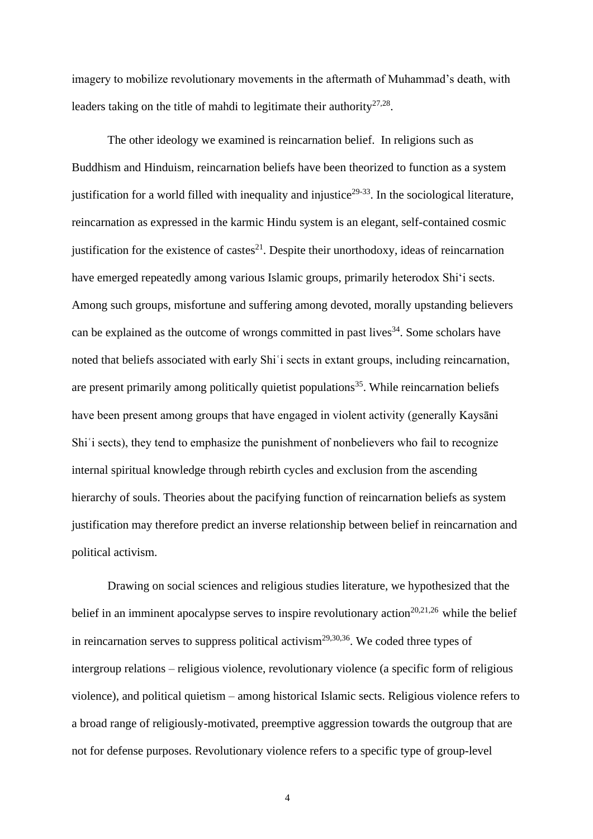imagery to mobilize revolutionary movements in the aftermath of Muhammad's death, with leaders taking on the title of mahdi to legitimate their authority<sup>[27,](#page-23-15)[28](#page-23-16)</sup>.

The other ideology we examined is reincarnation belief. In religions such as Buddhism and Hinduism, reincarnation beliefs have been theorized to function as a system justification for a world filled with inequality and injustice<sup>[29-33](#page-23-17)</sup>. In the sociological literature, reincarnation as expressed in the karmic Hindu system is an elegant, self-contained cosmic justification for the existence of castes $^{21}$  $^{21}$  $^{21}$ . Despite their unorthodoxy, ideas of reincarnation have emerged repeatedly among various Islamic groups, primarily heterodox Shi'i sects. Among such groups, misfortune and suffering among devoted, morally upstanding believers can be explained as the outcome of wrongs committed in past lives<sup>[34](#page-24-0)</sup>. Some scholars have noted that beliefs associated with early Shiʿi sects in extant groups, including reincarnation, are present primarily among politically quietist populations<sup>[35](#page-24-1)</sup>. While reincarnation beliefs have been present among groups that have engaged in violent activity (generally Kaysāni Shi'i sects), they tend to emphasize the punishment of nonbelievers who fail to recognize internal spiritual knowledge through rebirth cycles and exclusion from the ascending hierarchy of souls. Theories about the pacifying function of reincarnation beliefs as system justification may therefore predict an inverse relationship between belief in reincarnation and political activism.

Drawing on social sciences and religious studies literature, we hypothesized that the belief in an imminent apocalypse serves to inspire revolutionary action<sup>[20](#page-23-8)[,21](#page-23-9)[,26](#page-23-14)</sup> while the belief in reincarnation serves to suppress political activism<sup>[29,](#page-23-17)[30,](#page-23-18)[36](#page-24-2)</sup>. We coded three types of intergroup relations – religious violence, revolutionary violence (a specific form of religious violence), and political quietism – among historical Islamic sects. Religious violence refers to a broad range of religiously-motivated, preemptive aggression towards the outgroup that are not for defense purposes. Revolutionary violence refers to a specific type of group-level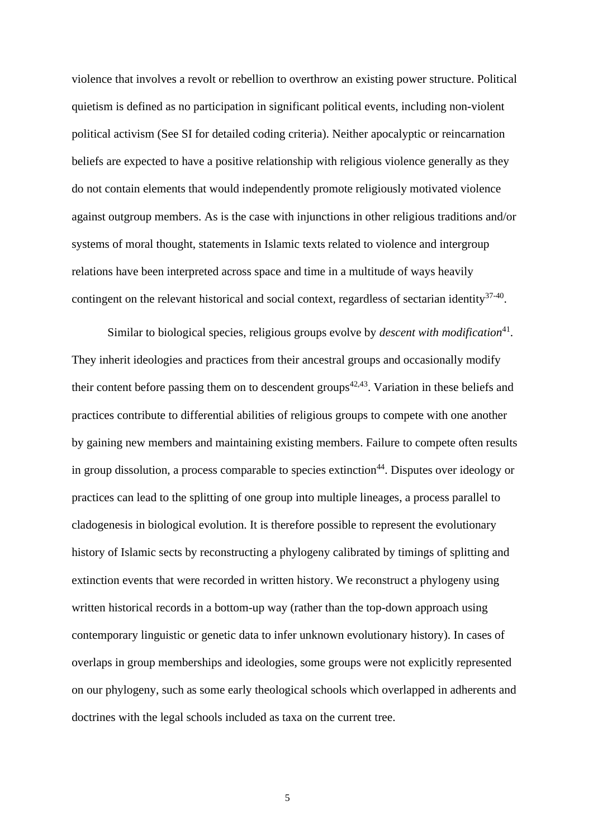violence that involves a revolt or rebellion to overthrow an existing power structure. Political quietism is defined as no participation in significant political events, including non-violent political activism (See SI for detailed coding criteria). Neither apocalyptic or reincarnation beliefs are expected to have a positive relationship with religious violence generally as they do not contain elements that would independently promote religiously motivated violence against outgroup members. As is the case with injunctions in other religious traditions and/or systems of moral thought, statements in Islamic texts related to violence and intergroup relations have been interpreted across space and time in a multitude of ways heavily contingent on the relevant historical and social context, regardless of sectarian identity<sup>[37-40](#page-24-3)</sup>.

Similar to biological species, religious groups evolve by *descent with modification*<sup>[41](#page-24-4)</sup>. They inherit ideologies and practices from their ancestral groups and occasionally modify their content before passing them on to descendent groups<sup> $42,43$  $42,43$ </sup>. Variation in these beliefs and practices contribute to differential abilities of religious groups to compete with one another by gaining new members and maintaining existing members. Failure to compete often results in group dissolution, a process comparable to species extinction<sup>[44](#page-24-7)</sup>. Disputes over ideology or practices can lead to the splitting of one group into multiple lineages, a process parallel to cladogenesis in biological evolution. It is therefore possible to represent the evolutionary history of Islamic sects by reconstructing a phylogeny calibrated by timings of splitting and extinction events that were recorded in written history. We reconstruct a phylogeny using written historical records in a bottom-up way (rather than the top-down approach using contemporary linguistic or genetic data to infer unknown evolutionary history). In cases of overlaps in group memberships and ideologies, some groups were not explicitly represented on our phylogeny, such as some early theological schools which overlapped in adherents and doctrines with the legal schools included as taxa on the current tree.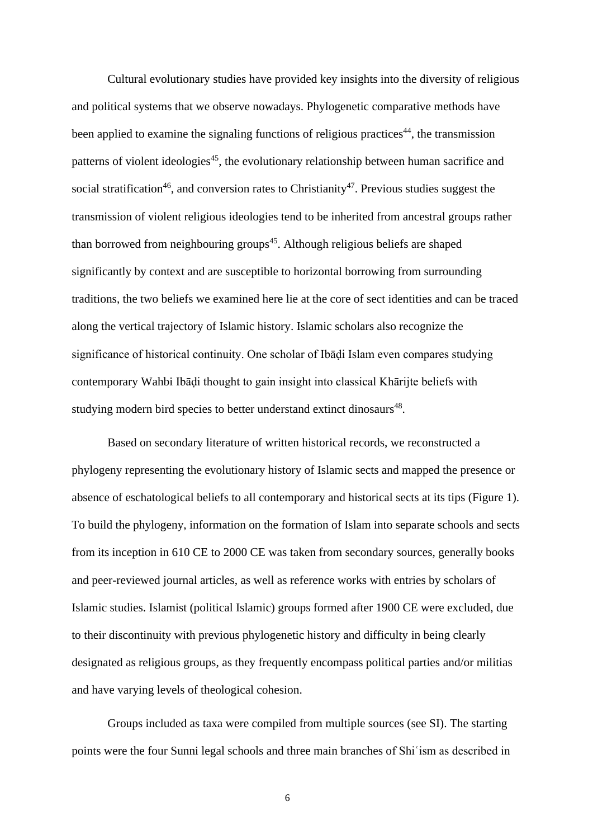Cultural evolutionary studies have provided key insights into the diversity of religious and political systems that we observe nowadays. Phylogenetic comparative methods have been applied to examine the signaling functions of religious practices<sup>44</sup>, the transmission patterns of violent ideologies<sup>[45](#page-24-8)</sup>, the evolutionary relationship between human sacrifice and social stratification<sup>[46](#page-24-9)</sup>, and conversion rates to Christianity<sup>[47](#page-25-0)</sup>. Previous studies suggest the transmission of violent religious ideologies tend to be inherited from ancestral groups rather than borrowed from neighbouring groups<sup>45</sup>. Although religious beliefs are shaped significantly by context and are susceptible to horizontal borrowing from surrounding traditions, the two beliefs we examined here lie at the core of sect identities and can be traced along the vertical trajectory of Islamic history. Islamic scholars also recognize the significance of historical continuity. One scholar of Ibāḍi Islam even compares studying contemporary Wahbi Ibāḍi thought to gain insight into classical Khārijte beliefs with studying modern bird species to better understand extinct dinosaurs<sup>[48](#page-25-1)</sup>.

Based on secondary literature of written historical records, we reconstructed a phylogeny representing the evolutionary history of Islamic sects and mapped the presence or absence of eschatological beliefs to all contemporary and historical sects at its tips (Figure 1). To build the phylogeny, information on the formation of Islam into separate schools and sects from its inception in 610 CE to 2000 CE was taken from secondary sources, generally books and peer-reviewed journal articles, as well as reference works with entries by scholars of Islamic studies. Islamist (political Islamic) groups formed after 1900 CE were excluded, due to their discontinuity with previous phylogenetic history and difficulty in being clearly designated as religious groups, as they frequently encompass political parties and/or militias and have varying levels of theological cohesion.

Groups included as taxa were compiled from multiple sources (see SI). The starting points were the four Sunni legal schools and three main branches of Shiʿism as described in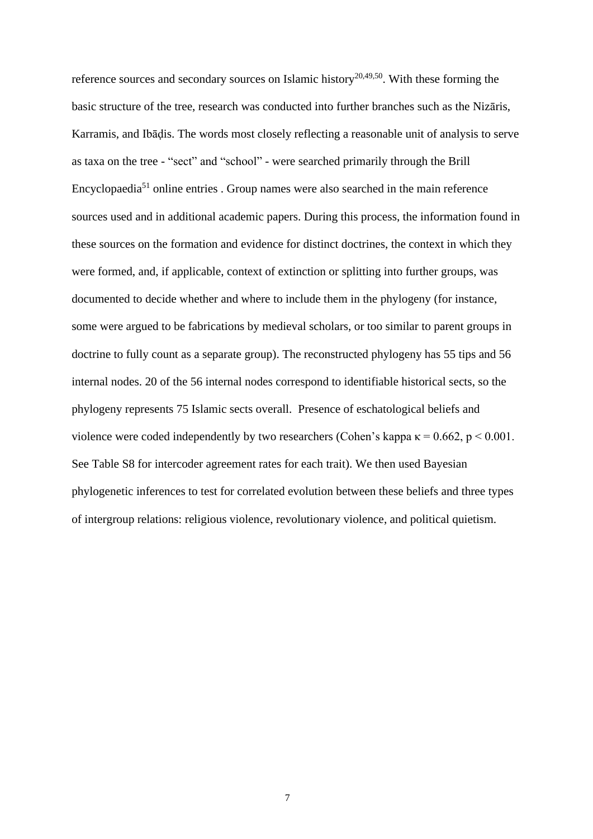reference sources and secondary sources on Islamic history<sup>[20](#page-23-8)[,49](#page-25-2)[,50](#page-25-3)</sup>. With these forming the basic structure of the tree, research was conducted into further branches such as the Nizāris, Karramis, and Ibāḍis. The words most closely reflecting a reasonable unit of analysis to serve as taxa on the tree - "sect" and "school" - were searched primarily through the Brill Encyclopaedia[51](#page-25-4) online entries . Group names were also searched in the main reference sources used and in additional academic papers. During this process, the information found in these sources on the formation and evidence for distinct doctrines, the context in which they were formed, and, if applicable, context of extinction or splitting into further groups, was documented to decide whether and where to include them in the phylogeny (for instance, some were argued to be fabrications by medieval scholars, or too similar to parent groups in doctrine to fully count as a separate group). The reconstructed phylogeny has 55 tips and 56 internal nodes. 20 of the 56 internal nodes correspond to identifiable historical sects, so the phylogeny represents 75 Islamic sects overall. Presence of eschatological beliefs and violence were coded independently by two researchers (Cohen's kappa  $\kappa = 0.662$ , p < 0.001. See Table S8 for intercoder agreement rates for each trait). We then used Bayesian phylogenetic inferences to test for correlated evolution between these beliefs and three types of intergroup relations: religious violence, revolutionary violence, and political quietism.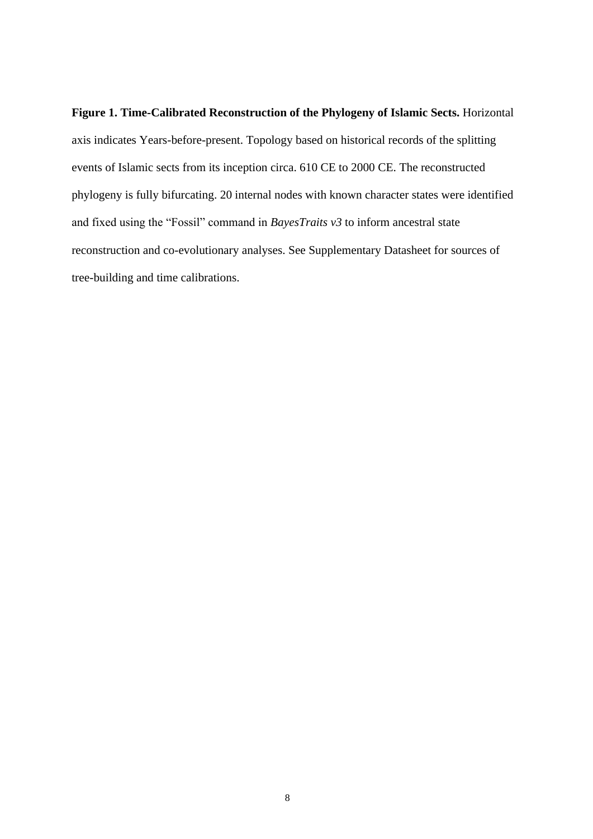**Figure 1. Time-Calibrated Reconstruction of the Phylogeny of Islamic Sects.** Horizontal axis indicates Years-before-present. Topology based on historical records of the splitting events of Islamic sects from its inception circa. 610 CE to 2000 CE. The reconstructed phylogeny is fully bifurcating. 20 internal nodes with known character states were identified and fixed using the "Fossil" command in *BayesTraits v3* to inform ancestral state reconstruction and co-evolutionary analyses. See Supplementary Datasheet for sources of tree-building and time calibrations.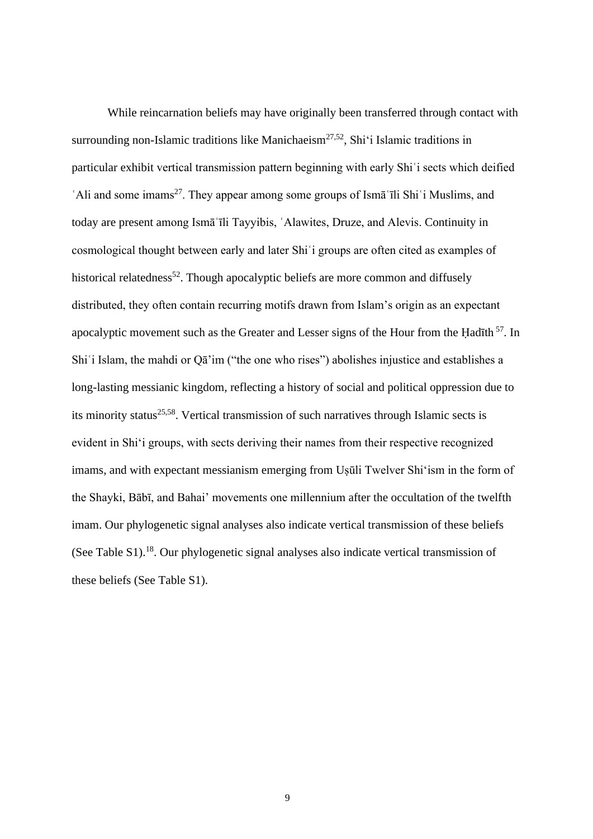While reincarnation beliefs may have originally been transferred through contact with surrounding non-Islamic traditions like Manichaeism<sup>[27,](#page-23-15)[52](#page-25-5)</sup>, Shi'i Islamic traditions in particular exhibit vertical transmission pattern beginning with early Shiʿi sects which deified Ali and some imams<sup>[27](#page-23-15)</sup>. They appear among some groups of Isma<sup>t</sup> ii Shi<sup>t</sup> Muslims, and today are present among Ismāʿīli Tayyibis, ʿAlawites, Druze, and Alevis. Continuity in cosmological thought between early and later Shiʿi groups are often cited as examples of historical relatedness<sup>[52](#page-25-5)</sup>. Though apocalyptic beliefs are more common and diffusely distributed, they often contain recurring motifs drawn from Islam's origin as an expectant apocalyptic movement such as the Greater and Lesser signs of the Hour from the Hadīth <sup>[57](file:///C:/Users/ucyldaa/AppData/Local/Microsoft/Windows/INetCache/Content.Outlook/A5CVVVV9/l%20%22_ENREF_57%22%20/o%20%22Cook,%202011%23690%2522)</sup>. In Shi'i Islam, the mahdi or Q $\vec{a}$ 'im ("the one who rises") abolishes injustice and establishes a long-lasting messianic kingdom, reflecting a history of social and political oppression due to its minority status<sup>[25](file:///C:/Users/ucyldaa/AppData/Local/Microsoft/Windows/INetCache/Content.Outlook/A5CVVVV9/l%20%22_ENREF_25%22%20/o%20%22Daftary,%202007%23652%2522)[,58](file:///C:/Users/ucyldaa/AppData/Local/Microsoft/Windows/INetCache/Content.Outlook/A5CVVVV9/l%20%22_ENREF_58%22%20/o%20%22Amir-Moezzi,%202012%23757%2522)</sup>. Vertical transmission of such narratives through Islamic sects is evident in Shi'i groups, with sects deriving their names from their respective recognized imams, and with expectant messianism emerging from Usūli Twelver Shi'ism in the form of the Shayki, Bābī, and Bahai' movements one millennium after the occultation of the twelfth imam. Our phylogenetic signal analyses also indicate vertical transmission of these beliefs (See Table S1).<sup>18</sup>. Our phylogenetic signal analyses also indicate vertical transmission of these beliefs (See Table S1).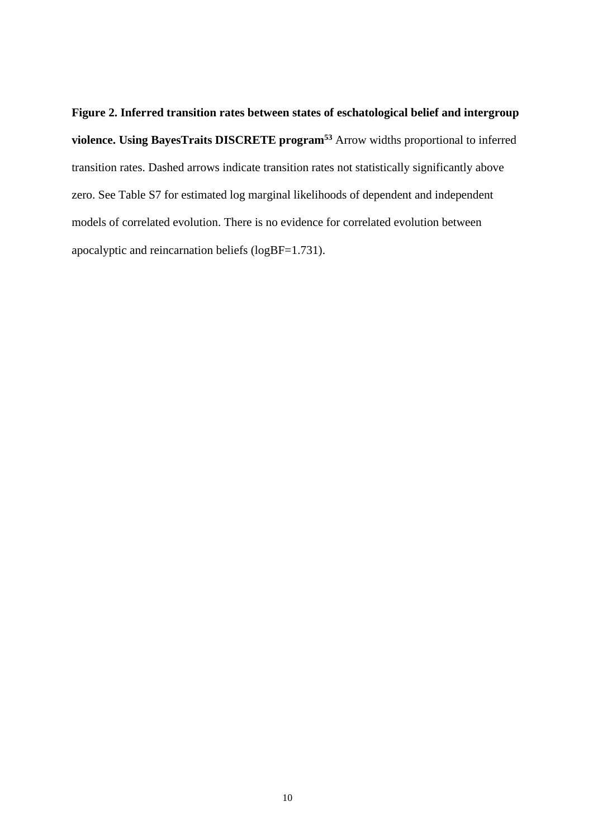**Figure 2. Inferred transition rates between states of eschatological belief and intergroup violence. Using BayesTraits DISCRETE program[53](#page-25-6)** Arrow widths proportional to inferred transition rates. Dashed arrows indicate transition rates not statistically significantly above zero. See Table S7 for estimated log marginal likelihoods of dependent and independent models of correlated evolution. There is no evidence for correlated evolution between apocalyptic and reincarnation beliefs (logBF=1.731).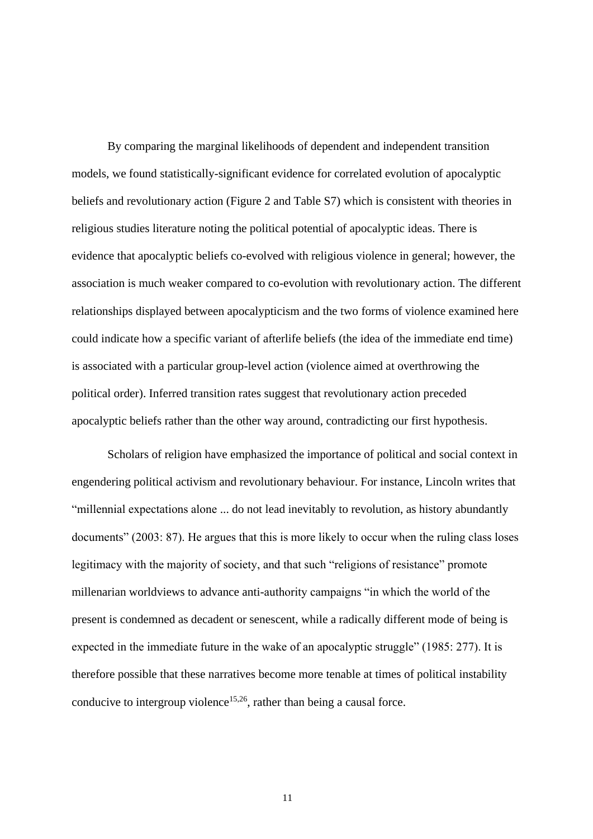By comparing the marginal likelihoods of dependent and independent transition models, we found statistically-significant evidence for correlated evolution of apocalyptic beliefs and revolutionary action (Figure 2 and Table S7) which is consistent with theories in religious studies literature noting the political potential of apocalyptic ideas. There is evidence that apocalyptic beliefs co-evolved with religious violence in general; however, the association is much weaker compared to co-evolution with revolutionary action. The different relationships displayed between apocalypticism and the two forms of violence examined here could indicate how a specific variant of afterlife beliefs (the idea of the immediate end time) is associated with a particular group-level action (violence aimed at overthrowing the political order). Inferred transition rates suggest that revolutionary action preceded apocalyptic beliefs rather than the other way around, contradicting our first hypothesis.

Scholars of religion have emphasized the importance of political and social context in engendering political activism and revolutionary behaviour. For instance, Lincoln writes that "millennial expectations alone ... do not lead inevitably to revolution, as history abundantly documents" (2003: 87). He argues that this is more likely to occur when the ruling class loses legitimacy with the majority of society, and that such "religions of resistance" promote millenarian worldviews to advance anti-authority campaigns "in which the world of the present is condemned as decadent or senescent, while a radically different mode of being is expected in the immediate future in the wake of an apocalyptic struggle" (1985: 277). It is therefore possible that these narratives become more tenable at times of political instability conducive to intergroup violence<sup>[15,](#page-23-3)[26](#page-23-14)</sup>, rather than being a causal force.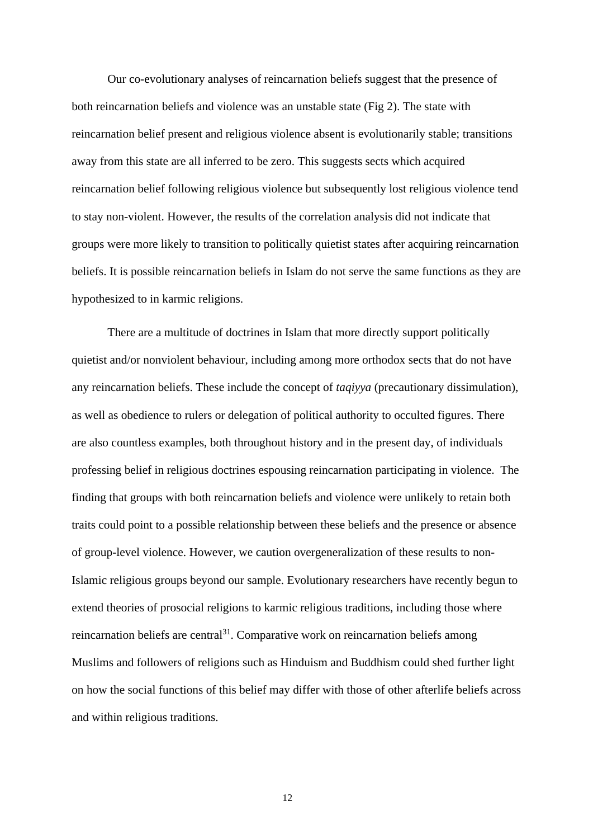Our co-evolutionary analyses of reincarnation beliefs suggest that the presence of both reincarnation beliefs and violence was an unstable state (Fig 2). The state with reincarnation belief present and religious violence absent is evolutionarily stable; transitions away from this state are all inferred to be zero. This suggests sects which acquired reincarnation belief following religious violence but subsequently lost religious violence tend to stay non-violent. However, the results of the correlation analysis did not indicate that groups were more likely to transition to politically quietist states after acquiring reincarnation beliefs. It is possible reincarnation beliefs in Islam do not serve the same functions as they are hypothesized to in karmic religions.

There are a multitude of doctrines in Islam that more directly support politically quietist and/or nonviolent behaviour, including among more orthodox sects that do not have any reincarnation beliefs. These include the concept of *taqiyya* (precautionary dissimulation), as well as obedience to rulers or delegation of political authority to occulted figures. There are also countless examples, both throughout history and in the present day, of individuals professing belief in religious doctrines espousing reincarnation participating in violence. The finding that groups with both reincarnation beliefs and violence were unlikely to retain both traits could point to a possible relationship between these beliefs and the presence or absence of group-level violence. However, we caution overgeneralization of these results to non-Islamic religious groups beyond our sample. Evolutionary researchers have recently begun to extend theories of prosocial religions to karmic religious traditions, including those where reincarnation beliefs are central<sup>31</sup>. Comparative work on reincarnation beliefs among Muslims and followers of religions such as Hinduism and Buddhism could shed further light on how the social functions of this belief may differ with those of other afterlife beliefs across and within religious traditions.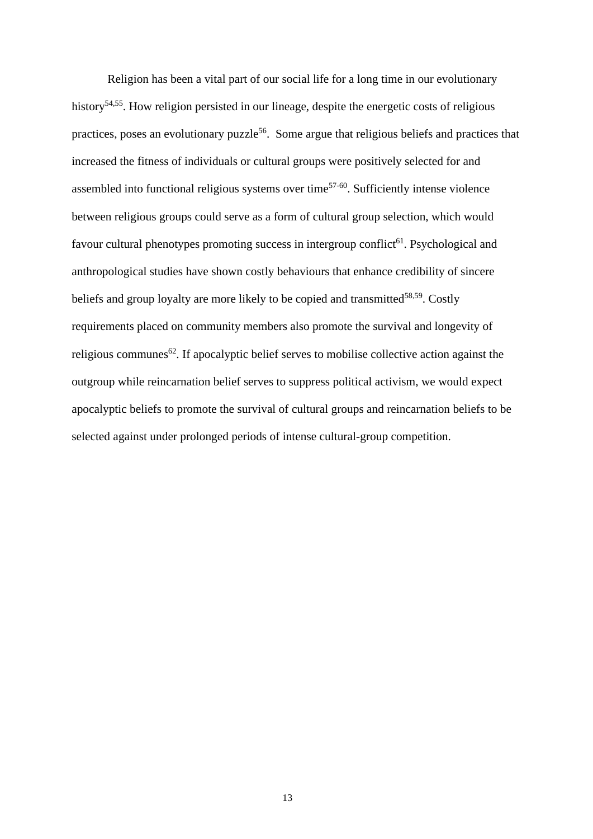Religion has been a vital part of our social life for a long time in our evolutionary history<sup>[54,](#page-25-7)[55](#page-25-8)</sup>. How religion persisted in our lineage, despite the energetic costs of religious practices, poses an evolutionary puzzle<sup>[56](#page-25-9)</sup>. Some argue that religious beliefs and practices that increased the fitness of individuals or cultural groups were positively selected for and assembled into functional religious systems over time<sup>[57-60](#page-25-10)</sup>. Sufficiently intense violence between religious groups could serve as a form of cultural group selection, which would favour cultural phenotypes promoting success in intergroup conflict<sup>[61](#page-25-11)</sup>. Psychological and anthropological studies have shown costly behaviours that enhance credibility of sincere beliefs and group loyalty are more likely to be copied and transmitted<sup>[58](#page-25-12)[,59](#page-25-13)</sup>. Costly requirements placed on community members also promote the survival and longevity of religious communes<sup>[62](#page-26-0)</sup>. If apocalyptic belief serves to mobilise collective action against the outgroup while reincarnation belief serves to suppress political activism, we would expect apocalyptic beliefs to promote the survival of cultural groups and reincarnation beliefs to be selected against under prolonged periods of intense cultural-group competition.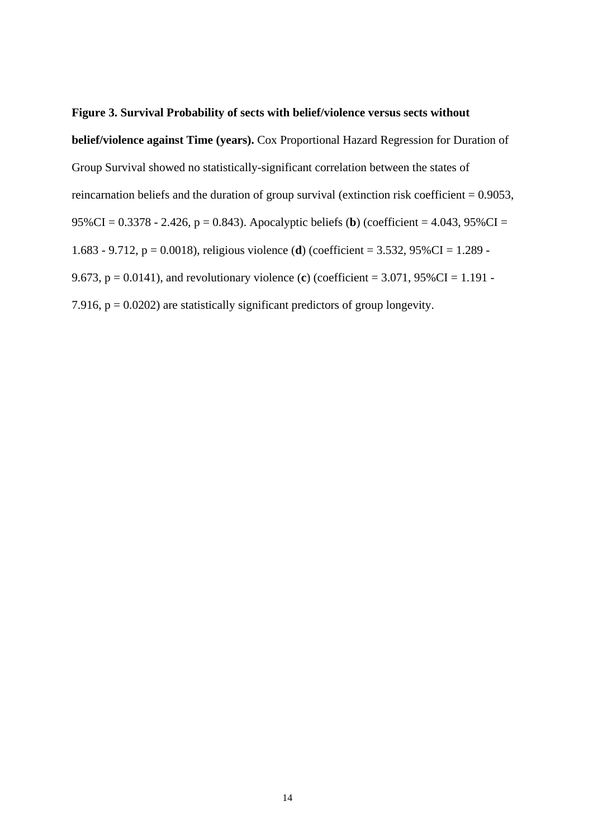# **Figure 3. Survival Probability of sects with belief/violence versus sects without**

**belief/violence against Time (years).** Cox Proportional Hazard Regression for Duration of Group Survival showed no statistically-significant correlation between the states of reincarnation beliefs and the duration of group survival (extinction risk coefficient  $= 0.9053$ , 95%CI = 0.3378 - 2.426, p = 0.843). Apocalyptic beliefs (**b**) (coefficient = 4.043, 95%CI = 1.683 - 9.712, p = 0.0018), religious violence (**d**) (coefficient = 3.532, 95%CI = 1.289 - 9.673, p = 0.0141), and revolutionary violence (**c**) (coefficient = 3.071, 95%CI = 1.191 - 7.916,  $p = 0.0202$ ) are statistically significant predictors of group longevity.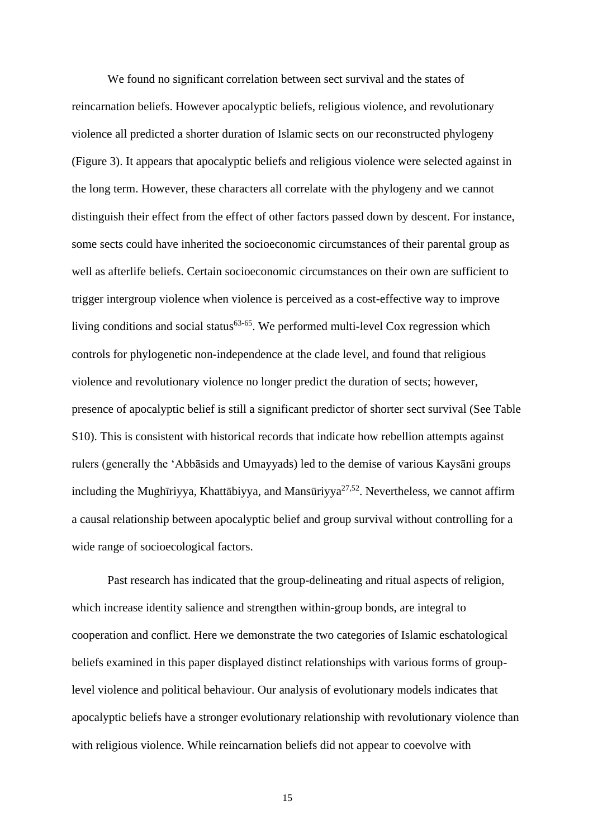We found no significant correlation between sect survival and the states of reincarnation beliefs. However apocalyptic beliefs, religious violence, and revolutionary violence all predicted a shorter duration of Islamic sects on our reconstructed phylogeny (Figure 3). It appears that apocalyptic beliefs and religious violence were selected against in the long term. However, these characters all correlate with the phylogeny and we cannot distinguish their effect from the effect of other factors passed down by descent. For instance, some sects could have inherited the socioeconomic circumstances of their parental group as well as afterlife beliefs. Certain socioeconomic circumstances on their own are sufficient to trigger intergroup violence when violence is perceived as a cost-effective way to improve living conditions and social status<sup>[63-65](#page-26-1)</sup>. We performed multi-level Cox regression which controls for phylogenetic non-independence at the clade level, and found that religious violence and revolutionary violence no longer predict the duration of sects; however, presence of apocalyptic belief is still a significant predictor of shorter sect survival (See Table S10). This is consistent with historical records that indicate how rebellion attempts against rulers (generally the 'Abbāsids and Umayyads) led to the demise of various Kaysāni groups including the Mughīriyya, Khattābiyya, and Mansūriyya<sup>[27,](#page-23-15)[52](#page-25-5)</sup>. Nevertheless, we cannot affirm a causal relationship between apocalyptic belief and group survival without controlling for a wide range of socioecological factors.

Past research has indicated that the group-delineating and ritual aspects of religion, which increase identity salience and strengthen within-group bonds, are integral to cooperation and conflict. Here we demonstrate the two categories of Islamic eschatological beliefs examined in this paper displayed distinct relationships with various forms of grouplevel violence and political behaviour. Our analysis of evolutionary models indicates that apocalyptic beliefs have a stronger evolutionary relationship with revolutionary violence than with religious violence. While reincarnation beliefs did not appear to coevolve with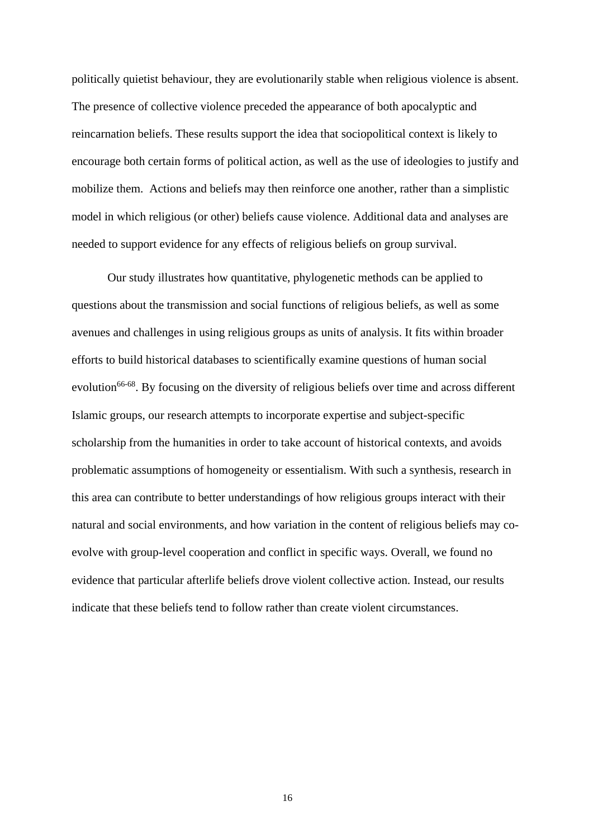politically quietist behaviour, they are evolutionarily stable when religious violence is absent. The presence of collective violence preceded the appearance of both apocalyptic and reincarnation beliefs. These results support the idea that sociopolitical context is likely to encourage both certain forms of political action, as well as the use of ideologies to justify and mobilize them. Actions and beliefs may then reinforce one another, rather than a simplistic model in which religious (or other) beliefs cause violence. Additional data and analyses are needed to support evidence for any effects of religious beliefs on group survival.

Our study illustrates how quantitative, phylogenetic methods can be applied to questions about the transmission and social functions of religious beliefs, as well as some avenues and challenges in using religious groups as units of analysis. It fits within broader efforts to build historical databases to scientifically examine questions of human social evolution<sup>[66-68](#page-26-2)</sup>. By focusing on the diversity of religious beliefs over time and across different Islamic groups, our research attempts to incorporate expertise and subject-specific scholarship from the humanities in order to take account of historical contexts, and avoids problematic assumptions of homogeneity or essentialism. With such a synthesis, research in this area can contribute to better understandings of how religious groups interact with their natural and social environments, and how variation in the content of religious beliefs may coevolve with group-level cooperation and conflict in specific ways. Overall, we found no evidence that particular afterlife beliefs drove violent collective action. Instead, our results indicate that these beliefs tend to follow rather than create violent circumstances.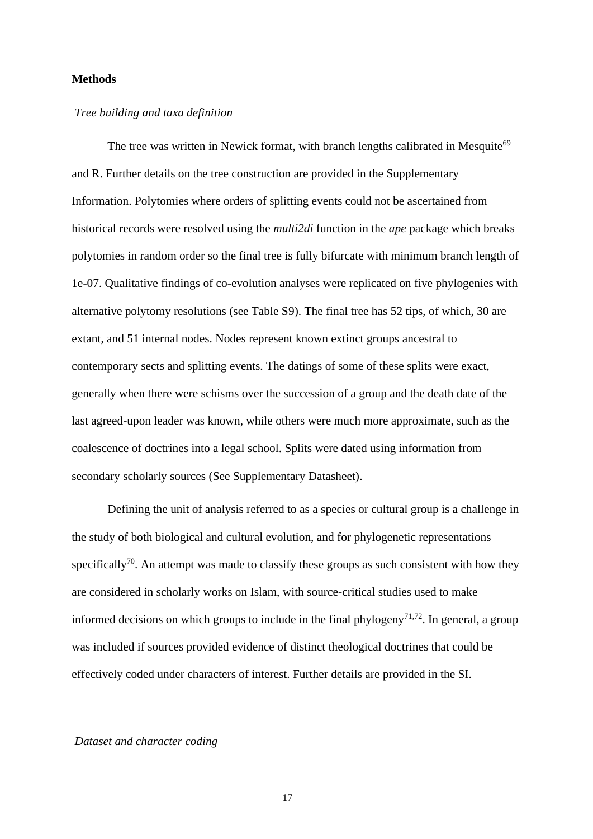# **Methods**

# *Tree building and taxa definition*

The tree was written in Newick format, with branch lengths calibrated in Mesquite<sup>[69](#page-26-3)</sup> and R. Further details on the tree construction are provided in the Supplementary Information. Polytomies where orders of splitting events could not be ascertained from historical records were resolved using the *multi2di* function in the *ape* package which breaks polytomies in random order so the final tree is fully bifurcate with minimum branch length of 1e-07. Qualitative findings of co-evolution analyses were replicated on five phylogenies with alternative polytomy resolutions (see Table S9). The final tree has 52 tips, of which, 30 are extant, and 51 internal nodes. Nodes represent known extinct groups ancestral to contemporary sects and splitting events. The datings of some of these splits were exact, generally when there were schisms over the succession of a group and the death date of the last agreed-upon leader was known, while others were much more approximate, such as the coalescence of doctrines into a legal school. Splits were dated using information from secondary scholarly sources (See Supplementary Datasheet).

Defining the unit of analysis referred to as a species or cultural group is a challenge in the study of both biological and cultural evolution, and for phylogenetic representations specifically<sup>[70](#page-26-4)</sup>. An attempt was made to classify these groups as such consistent with how they are considered in scholarly works on Islam, with source-critical studies used to make informed decisions on which groups to include in the final phylogeny<sup>[71](#page-26-5)[,72](#page-26-6)</sup>. In general, a group was included if sources provided evidence of distinct theological doctrines that could be effectively coded under characters of interest. Further details are provided in the SI.

## *Dataset and character coding*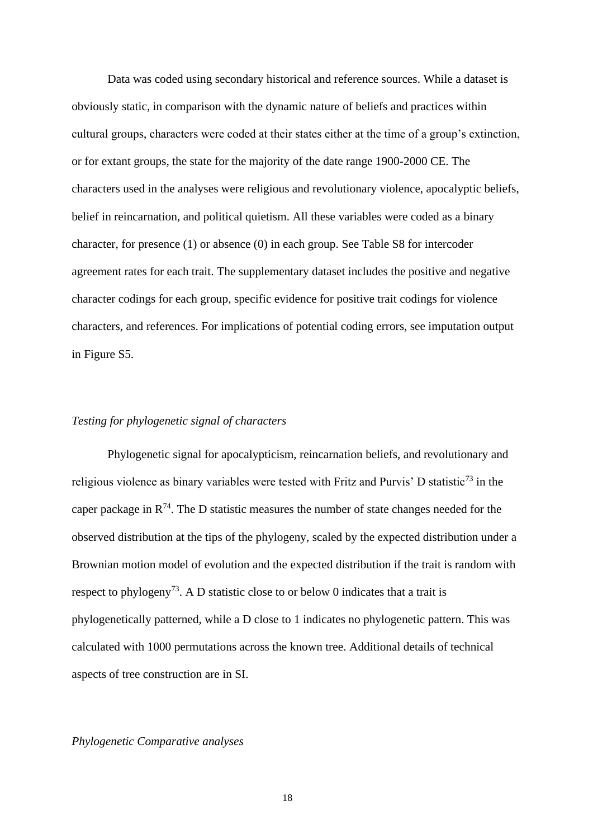Data was coded using secondary historical and reference sources. While a dataset is obviously static, in comparison with the dynamic nature of beliefs and practices within cultural groups, characters were coded at their states either at the time of a group's extinction, or for extant groups, the state for the majority of the date range 1900-2000 CE. The characters used in the analyses were religious and revolutionary violence, apocalyptic beliefs, belief in reincarnation, and political quietism. All these variables were coded as a binary character, for presence (1) or absence (0) in each group. See Table S8 for intercoder agreement rates for each trait. The supplementary dataset includes the positive and negative character codings for each group, specific evidence for positive trait codings for violence characters, and references. For implications of potential coding errors, see imputation output in Figure S5.

# *Testing for phylogenetic signal of characters*

Phylogenetic signal for apocalypticism, reincarnation beliefs, and revolutionary and religious violence as binary variables were tested with Fritz and Purvis' D statistic<sup>[73](#page-26-7)</sup> in the caper package in  $R^{74}$  $R^{74}$  $R^{74}$ . The D statistic measures the number of state changes needed for the observed distribution at the tips of the phylogeny, scaled by the expected distribution under a Brownian motion model of evolution and the expected distribution if the trait is random with respect to phylogeny<sup>[73](#page-26-7)</sup>. A D statistic close to or below 0 indicates that a trait is phylogenetically patterned, while a D close to 1 indicates no phylogenetic pattern. This was calculated with 1000 permutations across the known tree. Additional details of technical aspects of tree construction are in SI.

## *Phylogenetic Comparative analyses*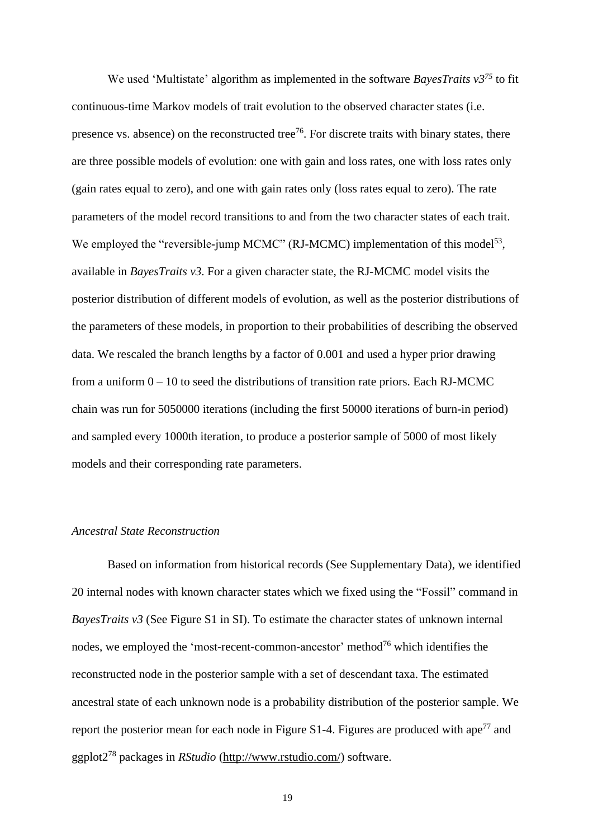We used 'Multistate' algorithm as implemented in the software *BayesTraits v3[75](#page-26-9)* to fit continuous-time Markov models of trait evolution to the observed character states (i.e. presence vs. absence) on the reconstructed tree<sup>[76](#page-26-10)</sup>. For discrete traits with binary states, there are three possible models of evolution: one with gain and loss rates, one with loss rates only (gain rates equal to zero), and one with gain rates only (loss rates equal to zero). The rate parameters of the model record transitions to and from the two character states of each trait. We employed the "reversible-jump MCMC" (RJ-MCMC) implementation of this model<sup>[53](#page-25-6)</sup>, available in *BayesTraits v3*. For a given character state, the RJ-MCMC model visits the posterior distribution of different models of evolution, as well as the posterior distributions of the parameters of these models, in proportion to their probabilities of describing the observed data. We rescaled the branch lengths by a factor of 0.001 and used a hyper prior drawing from a uniform  $0 - 10$  to seed the distributions of transition rate priors. Each RJ-MCMC chain was run for 5050000 iterations (including the first 50000 iterations of burn-in period) and sampled every 1000th iteration, to produce a posterior sample of 5000 of most likely models and their corresponding rate parameters.

## *Ancestral State Reconstruction*

Based on information from historical records (See Supplementary Data), we identified 20 internal nodes with known character states which we fixed using the "Fossil" command in *BayesTraits v3* (See Figure S1 in SI). To estimate the character states of unknown internal nodes, we employed the 'most-recent-common-ancestor' method<sup>[76](#page-26-10)</sup> which identifies the reconstructed node in the posterior sample with a set of descendant taxa. The estimated ancestral state of each unknown node is a probability distribution of the posterior sample. We report the posterior mean for each node in Figure  $S1-4$ . Figures are produced with ape<sup>[77](#page-26-11)</sup> and ggplot2[78](#page-27-0) packages in *RStudio* [\(http://www.rstudio.com/\)](http://www.rstudio.com/) software.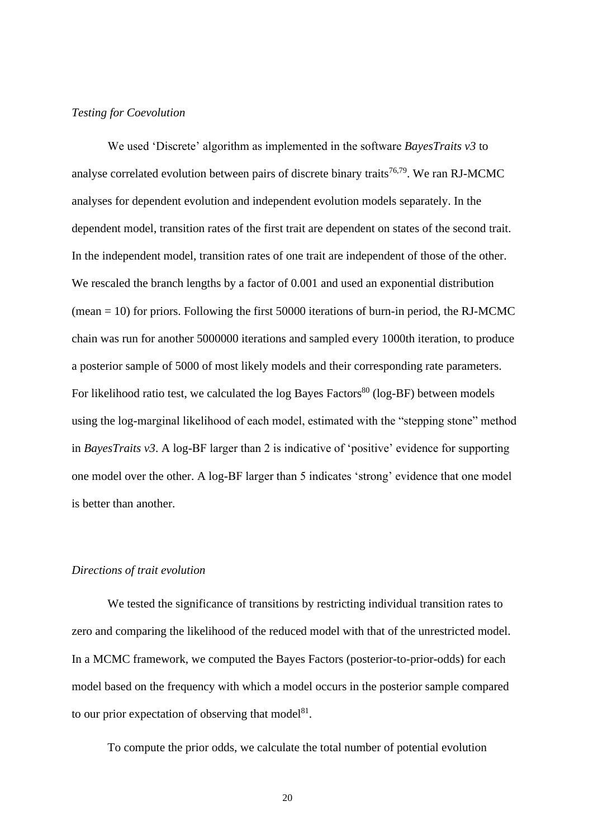# *Testing for Coevolution*

We used 'Discrete' algorithm as implemented in the software *BayesTraits v3* to analyse correlated evolution between pairs of discrete binary traits<sup>[76,](#page-26-10)[79](#page-27-1)</sup>. We ran RJ-MCMC analyses for dependent evolution and independent evolution models separately. In the dependent model, transition rates of the first trait are dependent on states of the second trait. In the independent model, transition rates of one trait are independent of those of the other. We rescaled the branch lengths by a factor of 0.001 and used an exponential distribution  $(mean = 10)$  for priors. Following the first 50000 iterations of burn-in period, the RJ-MCMC chain was run for another 5000000 iterations and sampled every 1000th iteration, to produce a posterior sample of 5000 of most likely models and their corresponding rate parameters. For likelihood ratio test, we calculated the log Bayes Factors<sup>[80](#page-27-2)</sup> (log-BF) between models using the log-marginal likelihood of each model, estimated with the "stepping stone" method in *BayesTraits v3*. A log-BF larger than 2 is indicative of 'positive' evidence for supporting one model over the other. A log-BF larger than 5 indicates 'strong' evidence that one model is better than another.

### *Directions of trait evolution*

We tested the significance of transitions by restricting individual transition rates to zero and comparing the likelihood of the reduced model with that of the unrestricted model. In a MCMC framework, we computed the Bayes Factors (posterior-to-prior-odds) for each model based on the frequency with which a model occurs in the posterior sample compared to our prior expectation of observing that model<sup>[81](#page-27-3)</sup>.

To compute the prior odds, we calculate the total number of potential evolution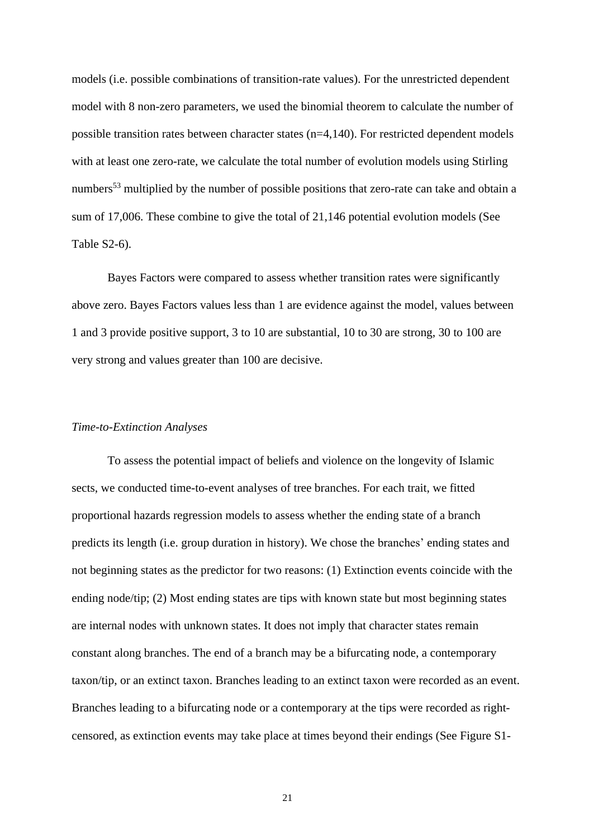models (i.e. possible combinations of transition-rate values). For the unrestricted dependent model with 8 non-zero parameters, we used the binomial theorem to calculate the number of possible transition rates between character states  $(n=4,140)$ . For restricted dependent models with at least one zero-rate, we calculate the total number of evolution models using Stirling numbers<sup>[53](#page-25-6)</sup> multiplied by the number of possible positions that zero-rate can take and obtain a sum of 17,006. These combine to give the total of 21,146 potential evolution models (See Table S2-6).

Bayes Factors were compared to assess whether transition rates were significantly above zero. Bayes Factors values less than 1 are evidence against the model, values between 1 and 3 provide positive support, 3 to 10 are substantial, 10 to 30 are strong, 30 to 100 are very strong and values greater than 100 are decisive.

#### *Time-to-Extinction Analyses*

To assess the potential impact of beliefs and violence on the longevity of Islamic sects, we conducted time-to-event analyses of tree branches. For each trait, we fitted proportional hazards regression models to assess whether the ending state of a branch predicts its length (i.e. group duration in history). We chose the branches' ending states and not beginning states as the predictor for two reasons: (1) Extinction events coincide with the ending node/tip; (2) Most ending states are tips with known state but most beginning states are internal nodes with unknown states. It does not imply that character states remain constant along branches. The end of a branch may be a bifurcating node, a contemporary taxon/tip, or an extinct taxon. Branches leading to an extinct taxon were recorded as an event. Branches leading to a bifurcating node or a contemporary at the tips were recorded as rightcensored, as extinction events may take place at times beyond their endings (See Figure S1-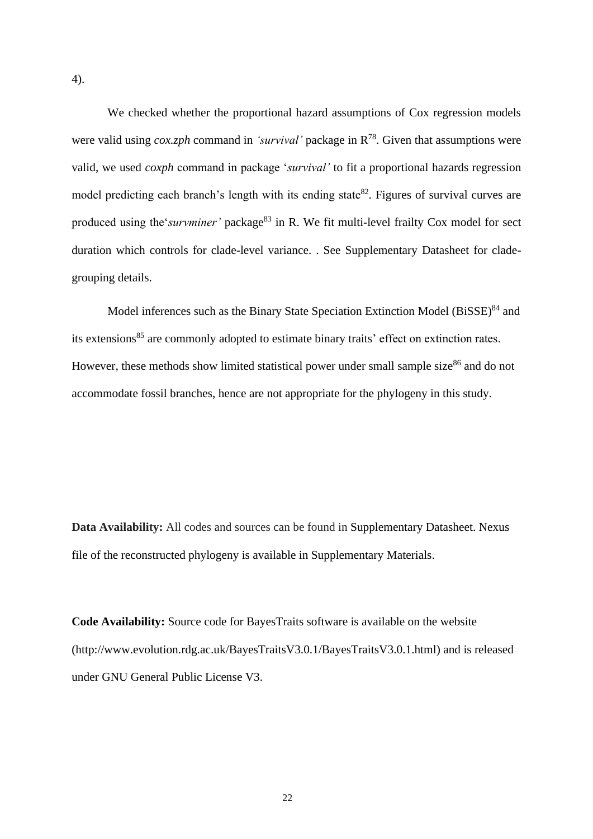We checked whether the proportional hazard assumptions of Cox regression models were valid using *cox.zph* command in *'survival'* package in  $R^{78}$ . Given that assumptions were valid, we used *coxph* command in package '*survival'* to fit a proportional hazards regression model predicting each branch's length with its ending state<sup>[82](#page-27-4)</sup>. Figures of survival curves are produced using the 'survminer' package<sup>[83](#page-27-5)</sup> in R. We fit multi-level frailty Cox model for sect duration which controls for clade-level variance. . See Supplementary Datasheet for cladegrouping details.

Model inferences such as the Binary State Speciation Extinction Model  $(BiSSE)^{84}$  $(BiSSE)^{84}$  $(BiSSE)^{84}$  and its extensions<sup>[85](#page-27-7)</sup> are commonly adopted to estimate binary traits' effect on extinction rates. However, these methods show limited statistical power under small sample size<sup>[86](#page-27-8)</sup> and do not accommodate fossil branches, hence are not appropriate for the phylogeny in this study.

**Data Availability:** All codes and sources can be found in Supplementary Datasheet. Nexus file of the reconstructed phylogeny is available in Supplementary Materials.

**Code Availability:** Source code for BayesTraits software is available on the website (http://www.evolution.rdg.ac.uk/BayesTraitsV3.0.1/BayesTraitsV3.0.1.html) and is released under GNU General Public License V3.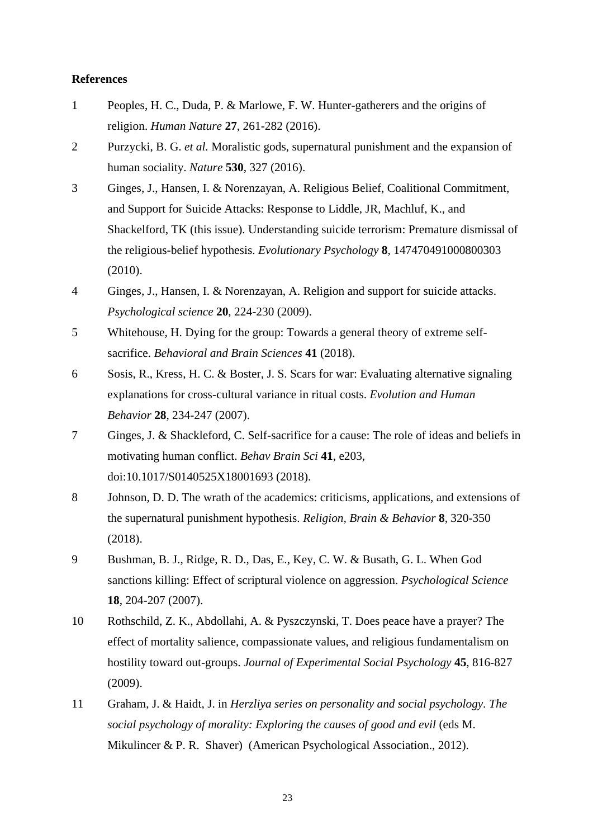# **References**

- <span id="page-22-0"></span>1 Peoples, H. C., Duda, P. & Marlowe, F. W. Hunter-gatherers and the origins of religion. *Human Nature* **27**, 261-282 (2016).
- <span id="page-22-1"></span>2 Purzycki, B. G. *et al.* Moralistic gods, supernatural punishment and the expansion of human sociality. *Nature* **530**, 327 (2016).
- <span id="page-22-2"></span>3 Ginges, J., Hansen, I. & Norenzayan, A. Religious Belief, Coalitional Commitment, and Support for Suicide Attacks: Response to Liddle, JR, Machluf, K., and Shackelford, TK (this issue). Understanding suicide terrorism: Premature dismissal of the religious-belief hypothesis. *Evolutionary Psychology* **8**, 147470491000800303 (2010).
- 4 Ginges, J., Hansen, I. & Norenzayan, A. Religion and support for suicide attacks. *Psychological science* **20**, 224-230 (2009).
- 5 Whitehouse, H. Dying for the group: Towards a general theory of extreme selfsacrifice. *Behavioral and Brain Sciences* **41** (2018).
- 6 Sosis, R., Kress, H. C. & Boster, J. S. Scars for war: Evaluating alternative signaling explanations for cross-cultural variance in ritual costs. *Evolution and Human Behavior* **28**, 234-247 (2007).
- <span id="page-22-3"></span>7 Ginges, J. & Shackleford, C. Self-sacrifice for a cause: The role of ideas and beliefs in motivating human conflict. *Behav Brain Sci* **41**, e203, doi:10.1017/S0140525X18001693 (2018).
- <span id="page-22-4"></span>8 Johnson, D. D. The wrath of the academics: criticisms, applications, and extensions of the supernatural punishment hypothesis. *Religion, Brain & Behavior* **8**, 320-350 (2018).
- <span id="page-22-5"></span>9 Bushman, B. J., Ridge, R. D., Das, E., Key, C. W. & Busath, G. L. When God sanctions killing: Effect of scriptural violence on aggression. *Psychological Science* **18**, 204-207 (2007).
- <span id="page-22-6"></span>10 Rothschild, Z. K., Abdollahi, A. & Pyszczynski, T. Does peace have a prayer? The effect of mortality salience, compassionate values, and religious fundamentalism on hostility toward out-groups. *Journal of Experimental Social Psychology* **45**, 816-827 (2009).
- <span id="page-22-7"></span>11 Graham, J. & Haidt, J. in *Herzliya series on personality and social psychology. The social psychology of morality: Exploring the causes of good and evil* (eds M. Mikulincer & P. R. Shaver) (American Psychological Association., 2012).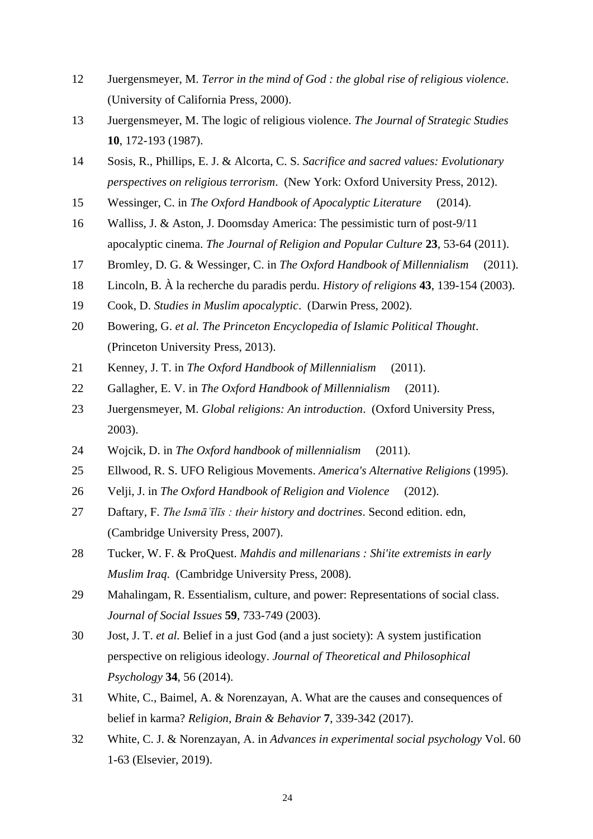- <span id="page-23-0"></span> Juergensmeyer, M. *Terror in the mind of God : the global rise of religious violence*. (University of California Press, 2000).
- <span id="page-23-1"></span> Juergensmeyer, M. The logic of religious violence. *The Journal of Strategic Studies* , 172-193 (1987).
- <span id="page-23-2"></span> Sosis, R., Phillips, E. J. & Alcorta, C. S. *Sacrifice and sacred values: Evolutionary perspectives on religious terrorism*. (New York: Oxford University Press, 2012).
- <span id="page-23-3"></span>Wessinger, C. in *The Oxford Handbook of Apocalyptic Literature* (2014).
- <span id="page-23-4"></span> Walliss, J. & Aston, J. Doomsday America: The pessimistic turn of post-9/11 apocalyptic cinema. *The Journal of Religion and Popular Culture* **23**, 53-64 (2011).
- <span id="page-23-5"></span>Bromley, D. G. & Wessinger, C. in *The Oxford Handbook of Millennialism* (2011).
- <span id="page-23-6"></span>Lincoln, B. À la recherche du paradis perdu. *History of religions* **43**, 139-154 (2003).
- <span id="page-23-7"></span>Cook, D. *Studies in Muslim apocalyptic*. (Darwin Press, 2002).
- <span id="page-23-8"></span> Bowering, G. *et al. The Princeton Encyclopedia of Islamic Political Thought*. (Princeton University Press, 2013).
- <span id="page-23-9"></span>Kenney, J. T. in *The Oxford Handbook of Millennialism* (2011).
- <span id="page-23-10"></span>Gallagher, E. V. in *The Oxford Handbook of Millennialism* (2011).
- <span id="page-23-11"></span> Juergensmeyer, M. *Global religions: An introduction*. (Oxford University Press, 2003).
- <span id="page-23-12"></span>Wojcik, D. in *The Oxford handbook of millennialism* (2011).
- <span id="page-23-13"></span>Ellwood, R. S. UFO Religious Movements. *America's Alternative Religions* (1995).
- <span id="page-23-14"></span>Velji, J. in *The Oxford Handbook of Religion and Violence* (2012).
- <span id="page-23-15"></span> Daftary, F. *The Ismāʿīlīs : their history and doctrines*. Second edition. edn, (Cambridge University Press, 2007).
- <span id="page-23-16"></span> Tucker, W. F. & ProQuest. *Mahdis and millenarians : Shi'ite extremists in early Muslim Iraq*. (Cambridge University Press, 2008).
- <span id="page-23-17"></span> Mahalingam, R. Essentialism, culture, and power: Representations of social class. *Journal of Social Issues* **59**, 733-749 (2003).
- <span id="page-23-18"></span> Jost, J. T. *et al.* Belief in a just God (and a just society): A system justification perspective on religious ideology. *Journal of Theoretical and Philosophical Psychology* **34**, 56 (2014).
- White, C., Baimel, A. & Norenzayan, A. What are the causes and consequences of belief in karma? *Religion, Brain & Behavior* **7**, 339-342 (2017).
- White, C. J. & Norenzayan, A. in *Advances in experimental social psychology* Vol. 60 1-63 (Elsevier, 2019).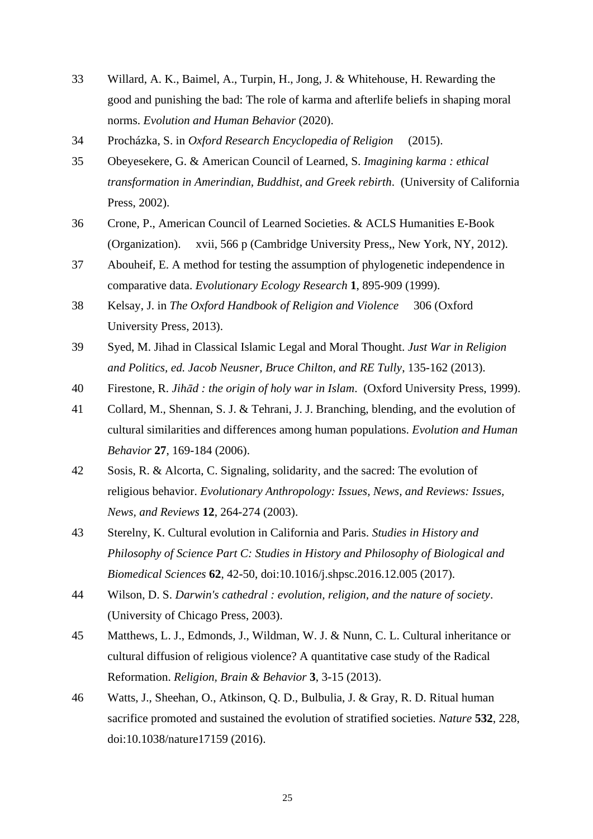- 33 Willard, A. K., Baimel, A., Turpin, H., Jong, J. & Whitehouse, H. Rewarding the good and punishing the bad: The role of karma and afterlife beliefs in shaping moral norms. *Evolution and Human Behavior* (2020).
- <span id="page-24-0"></span>34 Procházka, S. in *Oxford Research Encyclopedia of Religion* (2015).
- <span id="page-24-1"></span>35 Obeyesekere, G. & American Council of Learned, S. *Imagining karma : ethical transformation in Amerindian, Buddhist, and Greek rebirth*. (University of California Press, 2002).
- <span id="page-24-2"></span>36 Crone, P., American Council of Learned Societies. & ACLS Humanities E-Book (Organization). xvii, 566 p (Cambridge University Press,, New York, NY, 2012).
- <span id="page-24-3"></span>37 Abouheif, E. A method for testing the assumption of phylogenetic independence in comparative data. *Evolutionary Ecology Research* **1**, 895-909 (1999).
- 38 Kelsay, J. in *The Oxford Handbook of Religion and Violence* 306 (Oxford University Press, 2013).
- 39 Syed, M. Jihad in Classical Islamic Legal and Moral Thought. *Just War in Religion and Politics, ed. Jacob Neusner, Bruce Chilton, and RE Tully*, 135-162 (2013).
- 40 Firestone, R. *Jihād : the origin of holy war in Islam*. (Oxford University Press, 1999).
- <span id="page-24-4"></span>41 Collard, M., Shennan, S. J. & Tehrani, J. J. Branching, blending, and the evolution of cultural similarities and differences among human populations. *Evolution and Human Behavior* **27**, 169-184 (2006).
- <span id="page-24-5"></span>42 Sosis, R. & Alcorta, C. Signaling, solidarity, and the sacred: The evolution of religious behavior. *Evolutionary Anthropology: Issues, News, and Reviews: Issues, News, and Reviews* **12**, 264-274 (2003).
- <span id="page-24-6"></span>43 Sterelny, K. Cultural evolution in California and Paris. *Studies in History and Philosophy of Science Part C: Studies in History and Philosophy of Biological and Biomedical Sciences* **62**, 42-50, doi:10.1016/j.shpsc.2016.12.005 (2017).
- <span id="page-24-7"></span>44 Wilson, D. S. *Darwin's cathedral : evolution, religion, and the nature of society*. (University of Chicago Press, 2003).
- <span id="page-24-8"></span>45 Matthews, L. J., Edmonds, J., Wildman, W. J. & Nunn, C. L. Cultural inheritance or cultural diffusion of religious violence? A quantitative case study of the Radical Reformation. *Religion, Brain & Behavior* **3**, 3-15 (2013).
- <span id="page-24-9"></span>46 Watts, J., Sheehan, O., Atkinson, Q. D., Bulbulia, J. & Gray, R. D. Ritual human sacrifice promoted and sustained the evolution of stratified societies. *Nature* **532**, 228, doi:10.1038/nature17159 (2016).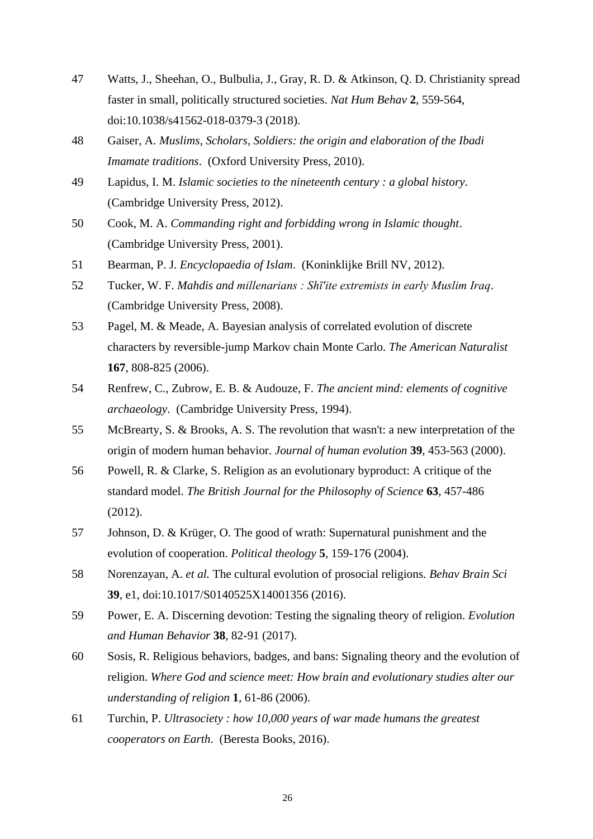- <span id="page-25-0"></span>47 Watts, J., Sheehan, O., Bulbulia, J., Gray, R. D. & Atkinson, Q. D. Christianity spread faster in small, politically structured societies. *Nat Hum Behav* **2**, 559-564, doi:10.1038/s41562-018-0379-3 (2018).
- <span id="page-25-1"></span>48 Gaiser, A. *Muslims, Scholars, Soldiers: the origin and elaboration of the Ibadi Imamate traditions*. (Oxford University Press, 2010).
- <span id="page-25-2"></span>49 Lapidus, I. M. *Islamic societies to the nineteenth century : a global history*. (Cambridge University Press, 2012).
- <span id="page-25-3"></span>50 Cook, M. A. *Commanding right and forbidding wrong in Islamic thought*. (Cambridge University Press, 2001).
- <span id="page-25-4"></span>51 Bearman, P. J. *Encyclopaedia of Islam*. (Koninklijke Brill NV, 2012).
- <span id="page-25-5"></span>52 Tucker, W. F. *Mahdis and millenarians : Shī'ite extremists in early Muslim Iraq*. (Cambridge University Press, 2008).
- <span id="page-25-6"></span>53 Pagel, M. & Meade, A. Bayesian analysis of correlated evolution of discrete characters by reversible-jump Markov chain Monte Carlo. *The American Naturalist* **167**, 808-825 (2006).
- <span id="page-25-7"></span>54 Renfrew, C., Zubrow, E. B. & Audouze, F. *The ancient mind: elements of cognitive archaeology*. (Cambridge University Press, 1994).
- <span id="page-25-8"></span>55 McBrearty, S. & Brooks, A. S. The revolution that wasn't: a new interpretation of the origin of modern human behavior. *Journal of human evolution* **39**, 453-563 (2000).
- <span id="page-25-9"></span>56 Powell, R. & Clarke, S. Religion as an evolutionary byproduct: A critique of the standard model. *The British Journal for the Philosophy of Science* **63**, 457-486 (2012).
- <span id="page-25-10"></span>57 Johnson, D. & Krüger, O. The good of wrath: Supernatural punishment and the evolution of cooperation. *Political theology* **5**, 159-176 (2004).
- <span id="page-25-12"></span>58 Norenzayan, A. *et al.* The cultural evolution of prosocial religions. *Behav Brain Sci* **39**, e1, doi:10.1017/S0140525X14001356 (2016).
- <span id="page-25-13"></span>59 Power, E. A. Discerning devotion: Testing the signaling theory of religion. *Evolution and Human Behavior* **38**, 82-91 (2017).
- 60 Sosis, R. Religious behaviors, badges, and bans: Signaling theory and the evolution of religion. *Where God and science meet: How brain and evolutionary studies alter our understanding of religion* **1**, 61-86 (2006).
- <span id="page-25-11"></span>61 Turchin, P. *Ultrasociety : how 10,000 years of war made humans the greatest cooperators on Earth*. (Beresta Books, 2016).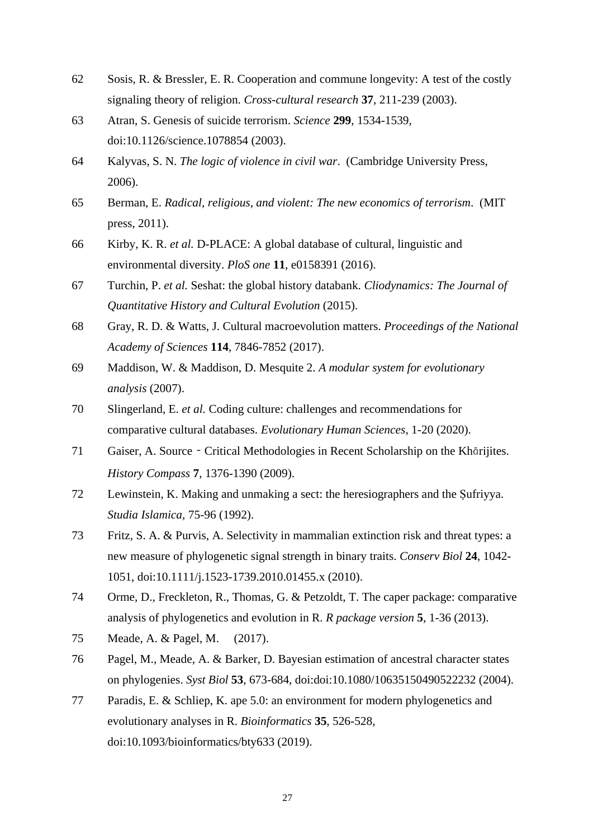- <span id="page-26-0"></span>62 Sosis, R. & Bressler, E. R. Cooperation and commune longevity: A test of the costly signaling theory of religion. *Cross-cultural research* **37**, 211-239 (2003).
- <span id="page-26-1"></span>63 Atran, S. Genesis of suicide terrorism. *Science* **299**, 1534-1539, doi:10.1126/science.1078854 (2003).
- 64 Kalyvas, S. N. *The logic of violence in civil war*. (Cambridge University Press, 2006).
- 65 Berman, E. *Radical, religious, and violent: The new economics of terrorism*. (MIT press, 2011).
- <span id="page-26-2"></span>66 Kirby, K. R. *et al.* D-PLACE: A global database of cultural, linguistic and environmental diversity. *PloS one* **11**, e0158391 (2016).
- 67 Turchin, P. *et al.* Seshat: the global history databank. *Cliodynamics: The Journal of Quantitative History and Cultural Evolution* (2015).
- 68 Gray, R. D. & Watts, J. Cultural macroevolution matters. *Proceedings of the National Academy of Sciences* **114**, 7846-7852 (2017).
- <span id="page-26-3"></span>69 Maddison, W. & Maddison, D. Mesquite 2. *A modular system for evolutionary analysis* (2007).
- <span id="page-26-4"></span>70 Slingerland, E. *et al.* Coding culture: challenges and recommendations for comparative cultural databases. *Evolutionary Human Sciences*, 1-20 (2020).
- <span id="page-26-5"></span>71 Gaiser, A. Source - Critical Methodologies in Recent Scholarship on the Khārijites. *History Compass* **7**, 1376-1390 (2009).
- <span id="page-26-6"></span>72 Lewinstein, K. Making and unmaking a sect: the heresiographers and the Ṣufriyya. *Studia Islamica*, 75-96 (1992).
- <span id="page-26-7"></span>73 Fritz, S. A. & Purvis, A. Selectivity in mammalian extinction risk and threat types: a new measure of phylogenetic signal strength in binary traits. *Conserv Biol* **24**, 1042- 1051, doi:10.1111/j.1523-1739.2010.01455.x (2010).
- <span id="page-26-8"></span>74 Orme, D., Freckleton, R., Thomas, G. & Petzoldt, T. The caper package: comparative analysis of phylogenetics and evolution in R. *R package version* **5**, 1-36 (2013).
- <span id="page-26-9"></span>75 Meade, A. & Pagel, M. (2017).
- <span id="page-26-10"></span>76 Pagel, M., Meade, A. & Barker, D. Bayesian estimation of ancestral character states on phylogenies. *Syst Biol* **53**, 673-684, doi:doi:10.1080/10635150490522232 (2004).
- <span id="page-26-11"></span>77 Paradis, E. & Schliep, K. ape 5.0: an environment for modern phylogenetics and evolutionary analyses in R. *Bioinformatics* **35**, 526-528, doi:10.1093/bioinformatics/bty633 (2019).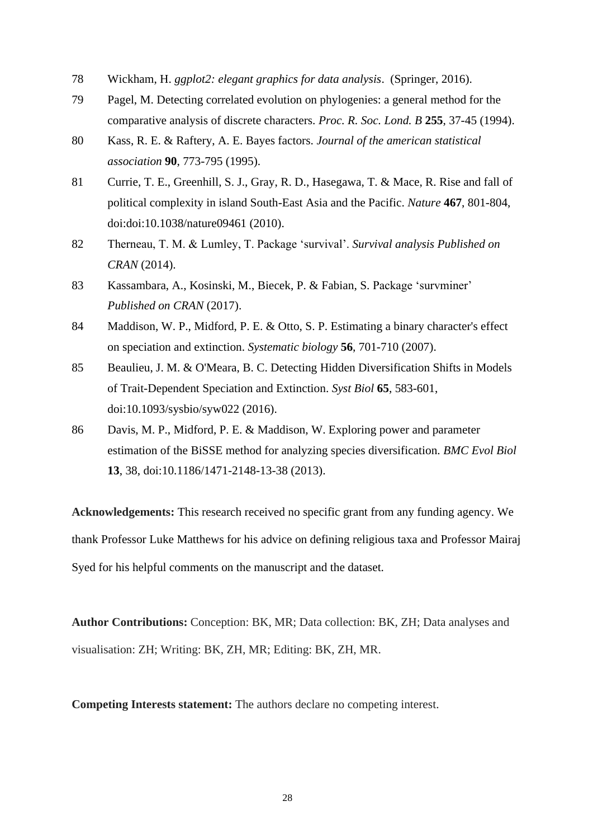- <span id="page-27-0"></span>78 Wickham, H. *ggplot2: elegant graphics for data analysis*. (Springer, 2016).
- <span id="page-27-1"></span>79 Pagel, M. Detecting correlated evolution on phylogenies: a general method for the comparative analysis of discrete characters. *Proc. R. Soc. Lond. B* **255**, 37-45 (1994).
- <span id="page-27-2"></span>80 Kass, R. E. & Raftery, A. E. Bayes factors. *Journal of the american statistical association* **90**, 773-795 (1995).
- <span id="page-27-3"></span>81 Currie, T. E., Greenhill, S. J., Gray, R. D., Hasegawa, T. & Mace, R. Rise and fall of political complexity in island South-East Asia and the Pacific. *Nature* **467**, 801-804, doi:doi:10.1038/nature09461 (2010).
- <span id="page-27-4"></span>82 Therneau, T. M. & Lumley, T. Package 'survival'. *Survival analysis Published on CRAN* (2014).
- <span id="page-27-5"></span>83 Kassambara, A., Kosinski, M., Biecek, P. & Fabian, S. Package 'survminer' *Published on CRAN* (2017).
- <span id="page-27-6"></span>84 Maddison, W. P., Midford, P. E. & Otto, S. P. Estimating a binary character's effect on speciation and extinction. *Systematic biology* **56**, 701-710 (2007).
- <span id="page-27-7"></span>85 Beaulieu, J. M. & O'Meara, B. C. Detecting Hidden Diversification Shifts in Models of Trait-Dependent Speciation and Extinction. *Syst Biol* **65**, 583-601, doi:10.1093/sysbio/syw022 (2016).
- <span id="page-27-8"></span>86 Davis, M. P., Midford, P. E. & Maddison, W. Exploring power and parameter estimation of the BiSSE method for analyzing species diversification. *BMC Evol Biol* **13**, 38, doi:10.1186/1471-2148-13-38 (2013).

**Acknowledgements:** This research received no specific grant from any funding agency. We thank Professor Luke Matthews for his advice on defining religious taxa and Professor Mairaj Syed for his helpful comments on the manuscript and the dataset.

**Author Contributions:** Conception: BK, MR; Data collection: BK, ZH; Data analyses and visualisation: ZH; Writing: BK, ZH, MR; Editing: BK, ZH, MR.

**Competing Interests statement:** The authors declare no competing interest.